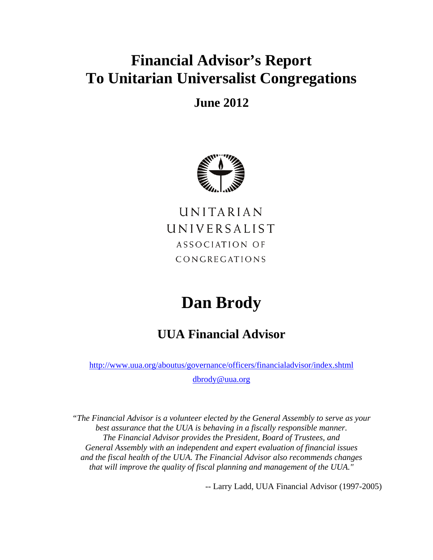# **Financial Advisor's Report To Unitarian Universalist Congregations**

# **June 2012**



UNITARIAN UNIVERSALIST ASSOCIATION OF CONGREGATIONS

# **Dan Brody**

# **UUA Financial Advisor**

http://www.uua.org/aboutus/governance/officers/financialadvisor/index.shtml dbrody@uua.org

*"The Financial Advisor is a volunteer elected by the General Assembly to serve as your best assurance that the UUA is behaving in a fiscally responsible manner. The Financial Advisor provides the President, Board of Trustees, and General Assembly with an independent and expert evaluation of financial issues and the fiscal health of the UUA. The Financial Advisor also recommends changes that will improve the quality of fiscal planning and management of the UUA."* 

-- Larry Ladd, UUA Financial Advisor (1997-2005)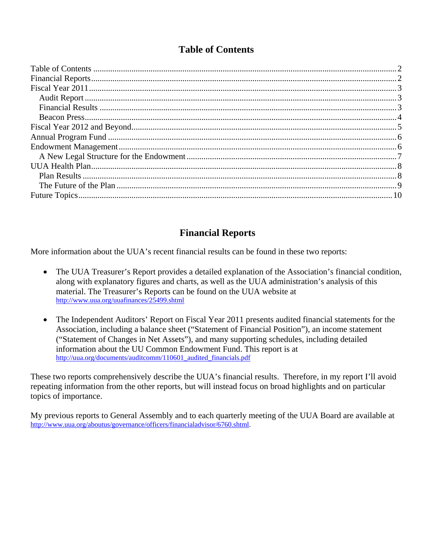# **Table of Contents**

# **Financial Reports**

More information about the UUA's recent financial results can be found in these two reports:

- The UUA Treasurer's Report provides a detailed explanation of the Association's financial condition, along with explanatory figures and charts, as well as the UUA administration's analysis of this material. The Treasurer's Reports can be found on the UUA website at http://www.uua.org/uuafinances/25499.shtml
- The Independent Auditors' Report on Fiscal Year 2011 presents audited financial statements for the Association, including a balance sheet ("Statement of Financial Position"), an income statement ("Statement of Changes in Net Assets"), and many supporting schedules, including detailed information about the UU Common Endowment Fund. This report is at http://uua.org/documents/auditcomm/110601\_audited\_financials.pdf

These two reports comprehensively describe the UUA's financial results. Therefore, in my report I'll avoid repeating information from the other reports, but will instead focus on broad highlights and on particular topics of importance.

My previous reports to General Assembly and to each quarterly meeting of the UUA Board are available at http://www.uua.org/aboutus/governance/officers/financialadvisor/6760.shtml.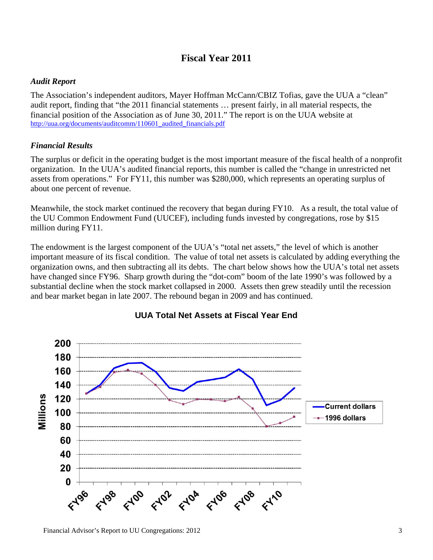## **Fiscal Year 2011**

#### *Audit Report*

The Association's independent auditors, Mayer Hoffman McCann/CBIZ Tofias, gave the UUA a "clean" audit report, finding that "the 2011 financial statements … present fairly, in all material respects, the financial position of the Association as of June 30, 2011." The report is on the UUA website at http://uua.org/documents/auditcomm/110601\_audited\_financials.pdf

#### *Financial Results*

The surplus or deficit in the operating budget is the most important measure of the fiscal health of a nonprofit organization. In the UUA's audited financial reports, this number is called the "change in unrestricted net assets from operations." For FY11, this number was \$280,000, which represents an operating surplus of about one percent of revenue.

Meanwhile, the stock market continued the recovery that began during FY10. As a result, the total value of the UU Common Endowment Fund (UUCEF), including funds invested by congregations, rose by \$15 million during FY11.

The endowment is the largest component of the UUA's "total net assets," the level of which is another important measure of its fiscal condition. The value of total net assets is calculated by adding everything the organization owns, and then subtracting all its debts. The chart below shows how the UUA's total net assets have changed since FY96. Sharp growth during the "dot-com" boom of the late 1990's was followed by a substantial decline when the stock market collapsed in 2000. Assets then grew steadily until the recession and bear market began in late 2007. The rebound began in 2009 and has continued.



#### **UUA Total Net Assets at Fiscal Year End**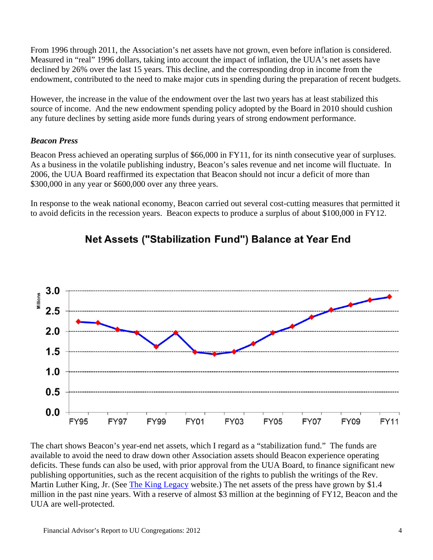From 1996 through 2011, the Association's net assets have not grown, even before inflation is considered. Measured in "real" 1996 dollars, taking into account the impact of inflation, the UUA's net assets have declined by 26% over the last 15 years. This decline, and the corresponding drop in income from the endowment, contributed to the need to make major cuts in spending during the preparation of recent budgets.

However, the increase in the value of the endowment over the last two years has at least stabilized this source of income. And the new endowment spending policy adopted by the Board in 2010 should cushion any future declines by setting aside more funds during years of strong endowment performance.

#### *Beacon Press*

Beacon Press achieved an operating surplus of \$66,000 in FY11, for its ninth consecutive year of surpluses. As a business in the volatile publishing industry, Beacon's sales revenue and net income will fluctuate. In 2006, the UUA Board reaffirmed its expectation that Beacon should not incur a deficit of more than \$300,000 in any year or \$600,000 over any three years.

In response to the weak national economy, Beacon carried out several cost-cutting measures that permitted it to avoid deficits in the recession years. Beacon expects to produce a surplus of about \$100,000 in FY12.



# Net Assets ("Stabilization Fund") Balance at Year End

The chart shows Beacon's year-end net assets, which I regard as a "stabilization fund." The funds are available to avoid the need to draw down other Association assets should Beacon experience operating deficits. These funds can also be used, with prior approval from the UUA Board, to finance significant new publishing opportunities, such as the recent acquisition of the rights to publish the writings of the Rev. Martin Luther King, Jr. (See The King Legacy website.) The net assets of the press have grown by \$1.4 million in the past nine years. With a reserve of almost \$3 million at the beginning of FY12, Beacon and the UUA are well-protected.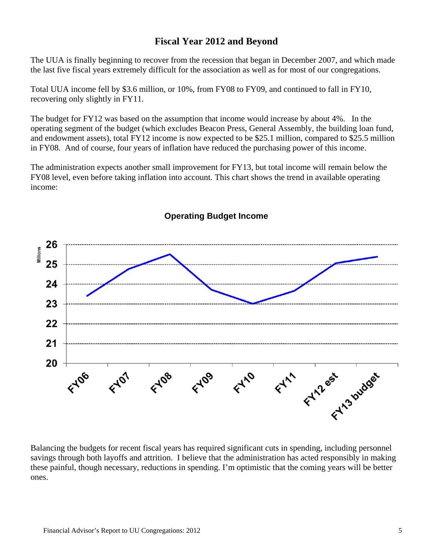#### **Fiscal Year 2012 and Beyond**

The UUA is finally beginning to recover from the recession that began in December 2007, and which made the last five fiscal years extremely difficult for the association as well as for most of our congregations.

Total UUA income fell by \$3.6 million, or 10%, from FY08 to FY09, and continued to fall in FY10, recovering only slightly in FY11.

The budget for FY12 was based on the assumption that income would increase by about 4%. In the operating segment of the budget (which excludes Beacon Press, General Assembly, the building loan fund, and endowment assets), total FY12 income is now expected to be \$25.1 million, compared to \$25.5 million in FY08. And of course, four years of inflation have reduced the purchasing power of this income.

The administration expects another small improvement for FY13, but total income will remain below the FY08 level, even before taking inflation into account. This chart shows the trend in available operating income:



#### **Operating Budget Income**

Balancing the budgets for recent fiscal years has required significant cuts in spending, including personnel savings through both layoffs and attrition. I believe that the administration has acted responsibly in making these painful, though necessary, reductions in spending. I'm optimistic that the coming years will be better ones.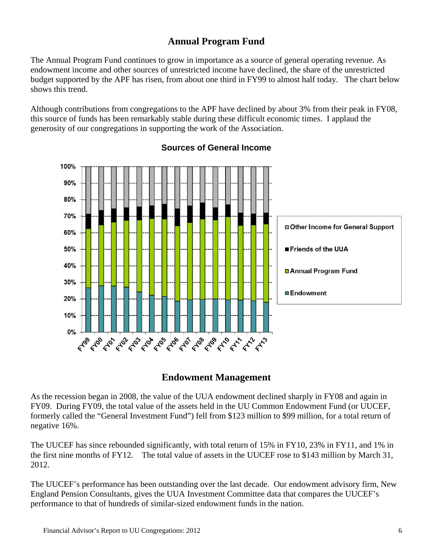## **Annual Program Fund**

The Annual Program Fund continues to grow in importance as a source of general operating revenue. As endowment income and other sources of unrestricted income have declined, the share of the unrestricted budget supported by the APF has risen, from about one third in FY99 to almost half today. The chart below shows this trend.

Although contributions from congregations to the APF have declined by about 3% from their peak in FY08, this source of funds has been remarkably stable during these difficult economic times. I applaud the generosity of our congregations in supporting the work of the Association.



#### **Sources of General Income**

#### **Endowment Management**

As the recession began in 2008, the value of the UUA endowment declined sharply in FY08 and again in FY09. During FY09, the total value of the assets held in the UU Common Endowment Fund (or UUCEF, formerly called the "General Investment Fund") fell from \$123 million to \$99 million, for a total return of negative 16%.

The UUCEF has since rebounded significantly, with total return of 15% in FY10, 23% in FY11, and 1% in the first nine months of FY12. The total value of assets in the UUCEF rose to \$143 million by March 31, 2012.

The UUCEF's performance has been outstanding over the last decade. Our endowment advisory firm, New England Pension Consultants, gives the UUA Investment Committee data that compares the UUCEF's performance to that of hundreds of similar-sized endowment funds in the nation.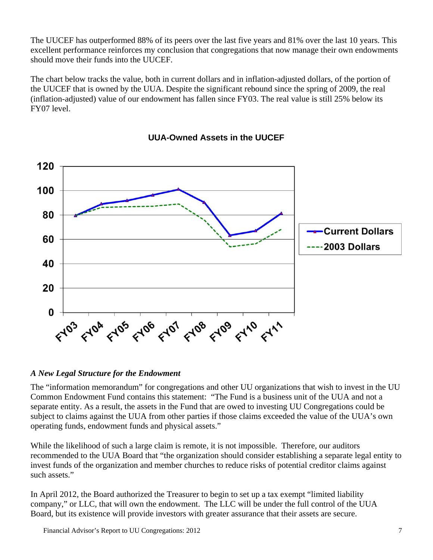The UUCEF has outperformed 88% of its peers over the last five years and 81% over the last 10 years. This excellent performance reinforces my conclusion that congregations that now manage their own endowments should move their funds into the UUCEF.

The chart below tracks the value, both in current dollars and in inflation-adjusted dollars, of the portion of the UUCEF that is owned by the UUA. Despite the significant rebound since the spring of 2009, the real (inflation-adjusted) value of our endowment has fallen since FY03. The real value is still 25% below its FY07 level.



#### **UUA-Owned Assets in the UUCEF**

#### *A New Legal Structure for the Endowment*

The "information memorandum" for congregations and other UU organizations that wish to invest in the UU Common Endowment Fund contains this statement: "The Fund is a business unit of the UUA and not a separate entity. As a result, the assets in the Fund that are owed to investing UU Congregations could be subject to claims against the UUA from other parties if those claims exceeded the value of the UUA's own operating funds, endowment funds and physical assets."

While the likelihood of such a large claim is remote, it is not impossible. Therefore, our auditors recommended to the UUA Board that "the organization should consider establishing a separate legal entity to invest funds of the organization and member churches to reduce risks of potential creditor claims against such assets."

In April 2012, the Board authorized the Treasurer to begin to set up a tax exempt "limited liability company," or LLC, that will own the endowment. The LLC will be under the full control of the UUA Board, but its existence will provide investors with greater assurance that their assets are secure.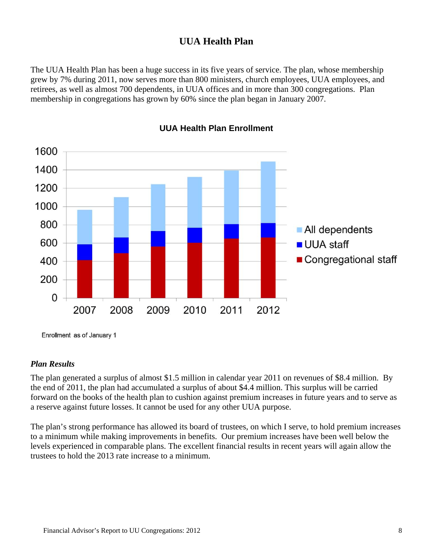## **UUA Health Plan**

The UUA Health Plan has been a huge success in its five years of service. The plan, whose membership grew by 7% during 2011, now serves more than 800 ministers, church employees, UUA employees, and retirees, as well as almost 700 dependents, in UUA offices and in more than 300 congregations. Plan membership in congregations has grown by 60% since the plan began in January 2007.



**UUA Health Plan Enrollment**

Enrollment as of January 1

#### *Plan Results*

The plan generated a surplus of almost \$1.5 million in calendar year 2011 on revenues of \$8.4 million. By the end of 2011, the plan had accumulated a surplus of about \$4.4 million. This surplus will be carried forward on the books of the health plan to cushion against premium increases in future years and to serve as a reserve against future losses. It cannot be used for any other UUA purpose.

The plan's strong performance has allowed its board of trustees, on which I serve, to hold premium increases to a minimum while making improvements in benefits. Our premium increases have been well below the levels experienced in comparable plans. The excellent financial results in recent years will again allow the trustees to hold the 2013 rate increase to a minimum.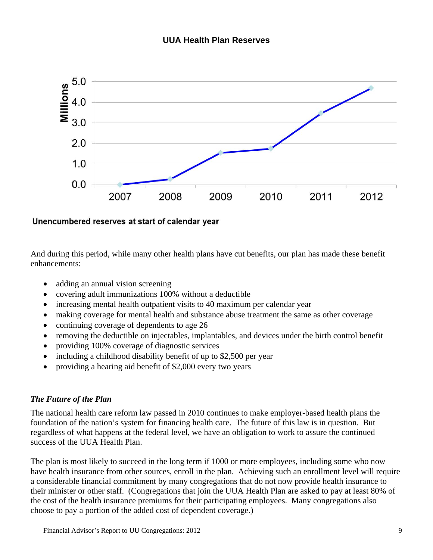

Unencumbered reserves at start of calendar year

And during this period, while many other health plans have cut benefits, our plan has made these benefit enhancements:

- adding an annual vision screening
- covering adult immunizations 100% without a deductible
- increasing mental health outpatient visits to 40 maximum per calendar year
- making coverage for mental health and substance abuse treatment the same as other coverage
- continuing coverage of dependents to age 26
- removing the deductible on injectables, implantables, and devices under the birth control benefit
- providing 100% coverage of diagnostic services
- including a childhood disability benefit of up to \$2,500 per year
- providing a hearing aid benefit of \$2,000 every two years

#### *The Future of the Plan*

The national health care reform law passed in 2010 continues to make employer-based health plans the foundation of the nation's system for financing health care. The future of this law is in question. But regardless of what happens at the federal level, we have an obligation to work to assure the continued success of the UUA Health Plan.

The plan is most likely to succeed in the long term if 1000 or more employees, including some who now have health insurance from other sources, enroll in the plan. Achieving such an enrollment level will require a considerable financial commitment by many congregations that do not now provide health insurance to their minister or other staff. (Congregations that join the UUA Health Plan are asked to pay at least 80% of the cost of the health insurance premiums for their participating employees. Many congregations also choose to pay a portion of the added cost of dependent coverage.)